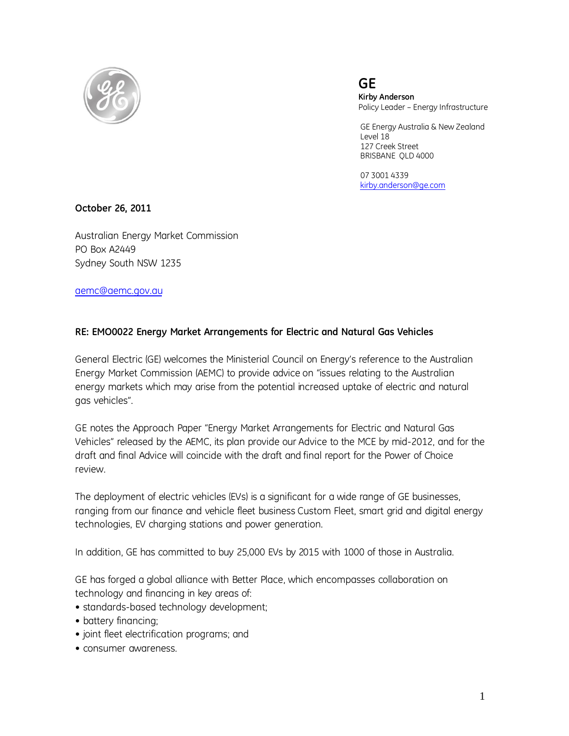

 **Kirby Anderson** Policy Leader – Energy Infrastructure

 GE Energy Australia & New Zealand Level 18 127 Creek Street BRISBANE QLD 4000

> 07 3001 4339 [kirby.anderson@ge.com](mailto:kirby.anderson@ge.com)

**October 26, 2011**

Australian Energy Market Commission PO Box A2449 Sydney South NSW 1235

[aemc@aemc.gov.au](mailto:aemc@aemc.gov.au)

# **RE: EMO0022 Energy Market Arrangements for Electric and Natural Gas Vehicles**

General Electric (GE) welcomes the Ministerial Council on Energy's reference to the Australian Energy Market Commission (AEMC) to provide advice on "issues relating to the Australian energy markets which may arise from the potential increased uptake of electric and natural gas vehicles".

GE notes the Approach Paper "Energy Market Arrangements for Electric and Natural Gas Vehicles" released by the AEMC, its plan provide our Advice to the MCE by mid-2012, and for the draft and final Advice will coincide with the draft and final report for the Power of Choice review.

The deployment of electric vehicles (EVs) is a significant for a wide range of GE businesses, ranging from our finance and vehicle fleet business Custom Fleet, smart grid and digital energy technologies, EV charging stations and power generation.

In addition, GE has committed to buy 25,000 EVs by 2015 with 1000 of those in Australia.

GE has forged a global alliance with Better Place, which encompasses collaboration on technology and financing in key areas of:

- standards-based technology development;
- battery financing;
- joint fleet electrification programs; and
- consumer awareness.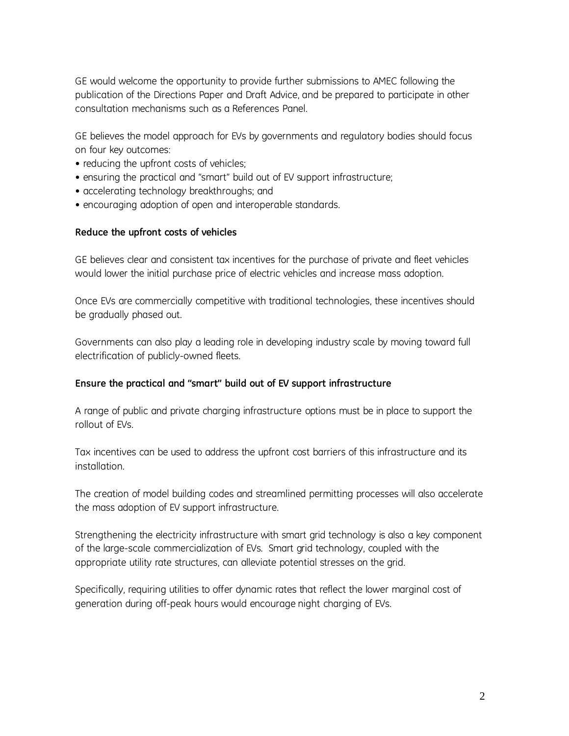GE would welcome the opportunity to provide further submissions to AMEC following the publication of the Directions Paper and Draft Advice, and be prepared to participate in other consultation mechanisms such as a References Panel.

GE believes the model approach for EVs by governments and regulatory bodies should focus on four key outcomes:

- reducing the upfront costs of vehicles;
- ensuring the practical and "smart" build out of EV support infrastructure;
- accelerating technology breakthroughs; and
- encouraging adoption of open and interoperable standards.

### **Reduce the upfront costs of vehicles**

GE believes clear and consistent tax incentives for the purchase of private and fleet vehicles would lower the initial purchase price of electric vehicles and increase mass adoption.

Once EVs are commercially competitive with traditional technologies, these incentives should be gradually phased out.

Governments can also play a leading role in developing industry scale by moving toward full electrification of publicly-owned fleets.

### **Ensure the practical and "smart" build out of EV support infrastructure**

A range of public and private charging infrastructure options must be in place to support the rollout of EVs.

Tax incentives can be used to address the upfront cost barriers of this infrastructure and its installation.

The creation of model building codes and streamlined permitting processes will also accelerate the mass adoption of EV support infrastructure.

Strengthening the electricity infrastructure with smart grid technology is also a key component of the large-scale commercialization of EVs. Smart grid technology, coupled with the appropriate utility rate structures, can alleviate potential stresses on the grid.

Specifically, requiring utilities to offer dynamic rates that reflect the lower marginal cost of generation during off-peak hours would encourage night charging of EVs.